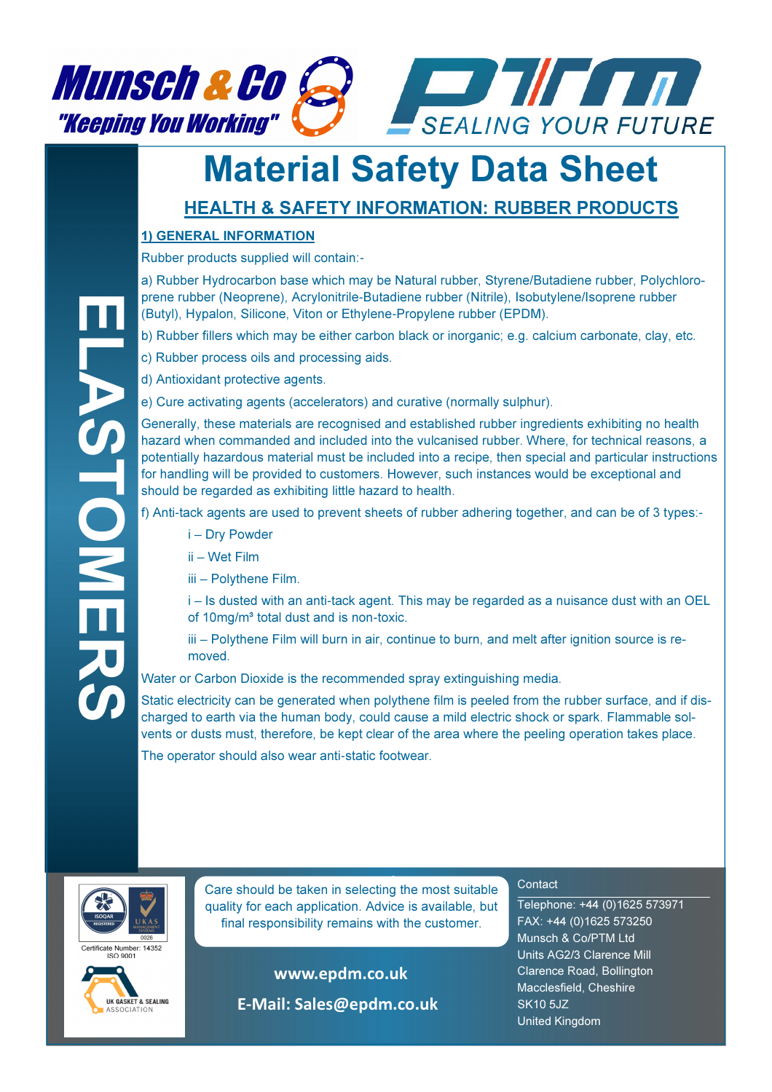

## Material Safety Data Sheet

### HEALTH & SAFETY INFORMATION: RUBBER PRODUCTS

#### 1) GENERAL INFORMATION

Rubber products supplied will contain:-

a) Rubber Hydrocarbon base which may be Natural rubber, Styrene/Butadiene rubber, Polychloroprene rubber (Neoprene), Acrylonitrile-Butadiene rubber (Nitrile), Isobutylene/Isoprene rubber (Butyl), Hypalon, Silicone, Viton or Ethylene-Propylene rubber (EPDM).

- b) Rubber fillers which may be either carbon black or inorganic; e.g. calcium carbonate, clay, etc.
- c) Rubber process oils and processing aids.
- d) Antioxidant protective agents.
- e) Cure activating agents (accelerators) and curative (normally sulphur).

Generally, these materials are recognised and established rubber ingredients exhibiting no health hazard when commanded and included into the vulcanised rubber. Where, for technical reasons, a potentially hazardous material must be included into a recipe, then special and particular instructions for handling will be provided to customers. However, such instances would be exceptional and should be regarded as exhibiting little hazard to health.

f) Anti-tack agents are used to prevent sheets of rubber adhering together, and can be of 3 types:-

- i Dry Powder
- ii Wet Film

iii – Polythene Film.

i – Is dusted with an anti-tack agent. This may be regarded as a nuisance dust with an OEL of 10mg/m<sup>3</sup> total dust and is non-toxic.

iii – Polythene Film will burn in air, continue to burn, and melt after ignition source is removed.

Water or Carbon Dioxide is the recommended spray extinguishing media.

Static electricity can be generated when polythene film is peeled from the rubber surface, and if discharged to earth via the human body, could cause a mild electric shock or spark. Flammable solvents or dusts must, therefore, be kept clear of the area where the peeling operation takes place.

The operator should also wear anti-static footwear.





**Care should be taken in selecting the most suitable** quality for each application. Advice is available, but final responsibility remains with the customer.

> www.epdm.co.uk E-Mail: Sales@epdm.co.uk

#### **Contact**

Telephone: +44 (0)1625 573971 FAX: +44 (0)1625 573250 Munsch & Co/PTM Ltd Units AG2/3 Clarence Mill Clarence Road, Bollington Macclesfield, Cheshire SK10 5JZ United Kingdom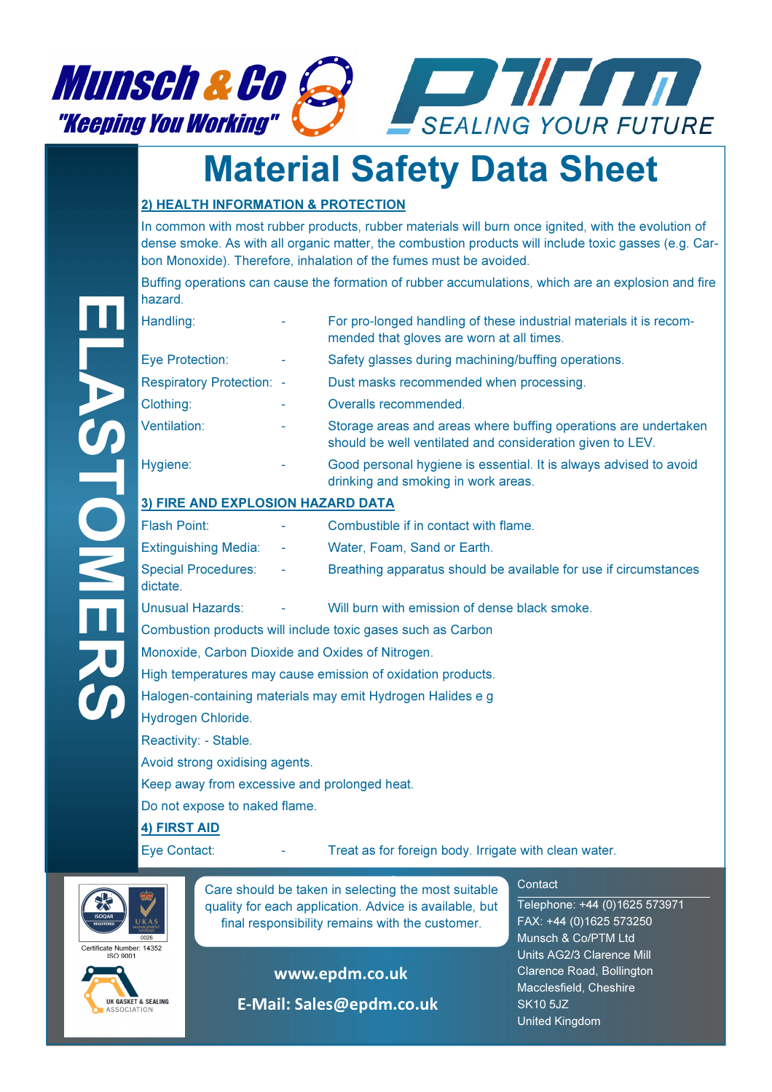

# Material Safety Data Sheet

#### 2) HEALTH INFORMATION & PROTECTION

In common with most rubber products, rubber materials will burn once ignited, with the evolution of dense smoke. As with all organic matter, the combustion products will include toxic gasses (e.g. Carbon Monoxide). Therefore, inhalation of the fumes must be avoided.

Buffing operations can cause the formation of rubber accumulations, which are an explosion and fire hazard.

| Handling:                         |  | For pro-longed handling of these industrial materials it is recom-<br>mended that gloves are worn at all times.              |  |  |  |  |  |
|-----------------------------------|--|------------------------------------------------------------------------------------------------------------------------------|--|--|--|--|--|
| Eye Protection:                   |  | Safety glasses during machining/buffing operations.                                                                          |  |  |  |  |  |
| <b>Respiratory Protection: -</b>  |  | Dust masks recommended when processing.                                                                                      |  |  |  |  |  |
| Clothing:                         |  | Overalls recommended.                                                                                                        |  |  |  |  |  |
| Ventilation:                      |  | Storage areas and areas where buffing operations are undertaken<br>should be well ventilated and consideration given to LEV. |  |  |  |  |  |
| Hygiene:                          |  | Good personal hygiene is essential. It is always advised to avoid<br>drinking and smoking in work areas.                     |  |  |  |  |  |
| 3) FIRE AND EXPLOSION HAZARD DATA |  |                                                                                                                              |  |  |  |  |  |
| <b>Flash Point:</b>               |  | Combustible if in contact with flame                                                                                         |  |  |  |  |  |

| l Flash Point: ∶                  | ٠                  | Combustible if in contact with flame.                            |
|-----------------------------------|--------------------|------------------------------------------------------------------|
| <b>Extinguishing Media:</b> -     |                    | Water, Foam, Sand or Earth.                                      |
| Special Procedures:<br>I dictate. | <b>All Control</b> | Breathing apparatus should be available for use if circumstances |
| الملمون مستمرا المربع برعوا ال    |                    | 10.60 kuwa with amaiaaian af danaa hiadu amaaica                 |

Combustion products will include toxic gases such as Carbon

Monoxide, Carbon Dioxide and Oxides of Nitrogen.

High temperatures may cause emission of oxidation products.

Halogen-containing materials may emit Hydrogen Halides e g

Hydrogen Chloride.

Reactivity: - Stable.

Avoid strong oxidising agents.

Keep away from excessive and prolonged heat.

Do not expose to naked flame.

#### 4) FIRST AID

Eye Contact: Treat as for foreign body. Irrigate with clean water.



**Care should be taken in selecting the most suitable** quality for each application. Advice is available, but final responsibility remains with the customer.





www.epdm.co.uk

E-Mail: Sales@epdm.co.uk

#### **Contact**

Telephone: +44 (0)1625 573971 FAX: +44 (0)1625 573250 Munsch & Co/PTM Ltd Units AG2/3 Clarence Mill Clarence Road, Bollington Macclesfield, Cheshire SK10 5JZ United Kingdom